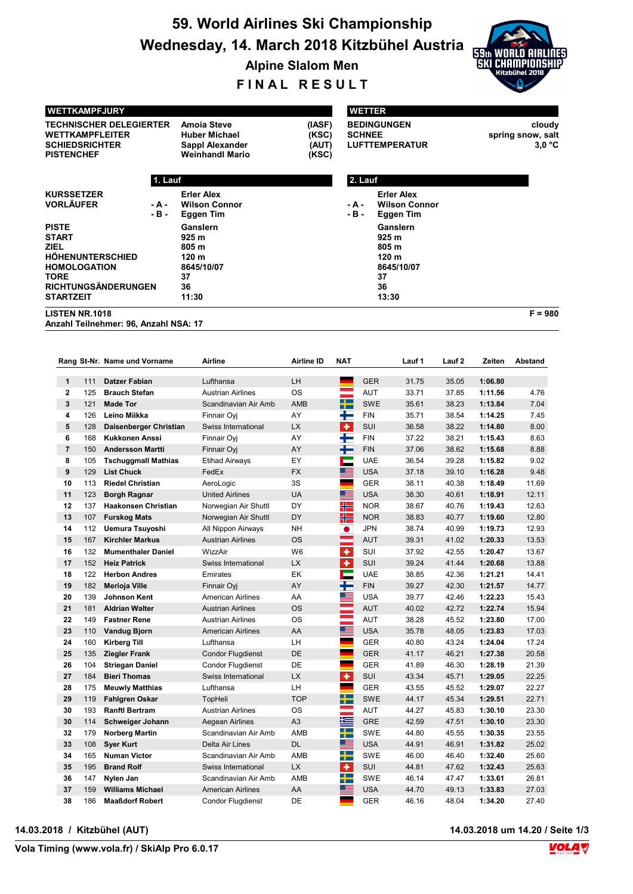# 59. World Airlines Ski Championship Wednesday, 14. March 2018 Kitzbühel Austria



Alpine Slalom Men

FINAL RESULT

| <b>WETTKAMPFJURY</b>                                                                                                                             |            |                                                       |                                                                                                                       |                  |                     | <b>WETTER</b>            |                                                                        |                |                    |                                       |  |  |
|--------------------------------------------------------------------------------------------------------------------------------------------------|------------|-------------------------------------------------------|-----------------------------------------------------------------------------------------------------------------------|------------------|---------------------|--------------------------|------------------------------------------------------------------------|----------------|--------------------|---------------------------------------|--|--|
| WETTKAMPFLEITER<br><b>SCHIEDSRICHTER</b><br><b>PISTENCHEF</b>                                                                                    |            | <b>TECHNISCHER DELEGIERTER</b>                        | <b>Amoia Steve</b><br>(IASF)<br>(KSC)<br><b>Huber Michael</b><br>(AUT)<br>Sappl Alexander<br>Weinhandl Mario<br>(KSC) |                  |                     | <b>SCHNEE</b>            | <b>BEDINGUNGEN</b><br><b>LUFTTEMPERATUR</b>                            |                |                    | cloudy<br>spring snow, salt<br>3.0 °C |  |  |
|                                                                                                                                                  |            | 1. Lauf                                               |                                                                                                                       |                  |                     | 2. Lauf                  |                                                                        |                |                    |                                       |  |  |
| <b>KURSSETZER</b><br><b>VORLÄUFER</b><br>- A -<br>- B -                                                                                          |            |                                                       | <b>Erler Alex</b><br><b>Wilson Connor</b><br>Eggen Tim                                                                |                  |                     | - A -<br>- B -           | <b>Erler Alex</b><br><b>Wilson Connor</b><br>Eggen Tim                 |                |                    |                                       |  |  |
| <b>PISTE</b><br><b>START</b><br>ZIEL<br><b>HOHENUNTERSCHIED</b><br><b>HOMOLOGATION</b><br>TORE<br><b>RICHTUNGSÄNDERUNGEN</b><br><b>STARTZEIT</b> |            |                                                       | Ganslern<br>925 m<br>805 m<br>120 <sub>m</sub><br>8645/10/07<br>37<br>36<br>11:30                                     |                  |                     |                          | Ganslern<br>925 m<br>805 m<br>120 m<br>8645/10/07<br>37<br>36<br>13:30 |                |                    |                                       |  |  |
| <b>LISTEN NR.1018</b>                                                                                                                            |            | Anzahl Teilnehmer: 96, Anzahl NSA: 17                 |                                                                                                                       |                  |                     |                          |                                                                        |                |                    | $F = 980$                             |  |  |
|                                                                                                                                                  |            | Rang St-Nr. Name und Vorname                          | Airline                                                                                                               | Airline ID       | <b>NAT</b>          |                          | Lauf 1                                                                 | Lauf 2         | Zeiten             | <b>Abstand</b>                        |  |  |
| 1                                                                                                                                                | 111        | <b>Datzer Fabian</b>                                  | Lufthansa                                                                                                             | LH               |                     | <b>GER</b>               | 31.75                                                                  | 35.05          | 1:06.80            |                                       |  |  |
| 2                                                                                                                                                | 125        | <b>Brauch Stefan</b>                                  | <b>Austrian Airlines</b>                                                                                              | <b>OS</b>        |                     | AUT                      | 33.71                                                                  | 37.85          | 1:11.56            | 4.76                                  |  |  |
| 3                                                                                                                                                | 121        | <b>Made Tor</b>                                       | Scandinavian Air Amb                                                                                                  | AMB              | ╅═                  | <b>SWE</b>               | 35.61                                                                  | 38.23          | 1:13.84            | 7.04                                  |  |  |
| 4                                                                                                                                                | 126        | Leino Miikka                                          | Finnair Oyj                                                                                                           | AY               | ╋                   | <b>FIN</b>               | 35.71                                                                  | 38.54          | 1:14.25            | 7.45                                  |  |  |
| 5                                                                                                                                                | 128        | Daisenberger Christian                                | Swiss International                                                                                                   | <b>LX</b>        | $\ddot{\textbf{r}}$ | SUI                      | 36.58                                                                  | 38.22          | 1:14.80            | 8.00                                  |  |  |
| 6                                                                                                                                                | 168        | <b>Kukkonen Anssi</b>                                 | Finnair Oyj                                                                                                           | AY               | ÷                   | <b>FIN</b>               | 37.22                                                                  | 38.21          | 1:15.43            | 8.63                                  |  |  |
| 7<br>8                                                                                                                                           | 150<br>105 | <b>Andersson Martti</b><br><b>Tschuggmall Mathias</b> | Finnair Oyj<br><b>Etihad Airways</b>                                                                                  | AY<br>EY         | ╈<br>Е              | <b>FIN</b><br><b>UAE</b> | 37.06<br>36.54                                                         | 38.62<br>39.28 | 1:15.68<br>1:15.82 | 8.88<br>9.02                          |  |  |
| 9                                                                                                                                                | 129        | <b>List Chuck</b>                                     | FedEx                                                                                                                 | <b>FX</b>        | <u>est</u>          | <b>USA</b>               | 37.18                                                                  | 39.10          | 1:16.28            | 9.48                                  |  |  |
| 10                                                                                                                                               | 113        | <b>Riedel Christian</b>                               | AeroLogic                                                                                                             | 3S               | a.                  | <b>GER</b>               | 38.11                                                                  | 40.38          | 1:18.49            | 11.69                                 |  |  |
| 11                                                                                                                                               | 123        | <b>Borgh Ragnar</b>                                   | <b>United Airlines</b>                                                                                                | UA               | <u>est</u>          | <b>USA</b>               | 38.30                                                                  | 40.61          | 1:18.91            | 12.11                                 |  |  |
| 12                                                                                                                                               | 137        | <b>Haakonsen Christian</b>                            | Norwegian Air Shuttl                                                                                                  | DY               | ╬                   | <b>NOR</b>               | 38.67                                                                  | 40.76          | 1:19.43            | 12.63                                 |  |  |
| 13                                                                                                                                               | 107        | <b>Furskog Mats</b>                                   | Norwegian Air Shuttl                                                                                                  | DY               | H                   | <b>NOR</b>               | 38.83                                                                  | 40.77          | 1:19.60            | 12.80                                 |  |  |
| 14<br>15                                                                                                                                         | 112<br>167 | Uemura Tsuyoshi<br><b>Kirchler Markus</b>             | All Nippon Airways<br><b>Austrian Airlines</b>                                                                        | NΗ<br><b>OS</b>  | $\bullet$<br>÷      | <b>JPN</b><br><b>AUT</b> | 38.74<br>39.31                                                         | 40.99<br>41.02 | 1:19.73<br>1:20.33 | 12.93<br>13.53                        |  |  |
| 16                                                                                                                                               | 132        | <b>Mumenthaler Daniel</b>                             | WizzAir                                                                                                               | W <sub>6</sub>   | ٠                   | SUI                      | 37.92                                                                  | 42.55          | 1:20.47            | 13.67                                 |  |  |
| 17                                                                                                                                               | 152        | <b>Heiz Patrick</b>                                   | Swiss International                                                                                                   | <b>LX</b>        | ٠                   | SUI                      | 39.24                                                                  | 41.44          | 1:20.68            | 13.88                                 |  |  |
| 18                                                                                                                                               |            | 122 Herbon Andres                                     | Emirates                                                                                                              | EK               | ┍                   | <b>UAE</b>               | 38.85                                                                  | 42.36          | 1:21.21            | 14.41                                 |  |  |
| 19                                                                                                                                               | 182        | Merioja Ville                                         | Finnair Oyj                                                                                                           | AY               | ╄                   | ${\sf FIN}$              | 39.27                                                                  | 42.30          | 1:21.57            | 14.77                                 |  |  |
| 20                                                                                                                                               | 139        | Johnson Kent                                          | American Airlines                                                                                                     | AA               | E.                  | <b>USA</b>               | 39.77                                                                  | 42.46          | 1:22.23            | 15.43                                 |  |  |
| 21<br>22                                                                                                                                         | 181<br>149 | <b>Aldrian Walter</b><br><b>Fastner Rene</b>          | <b>Austrian Airlines</b><br><b>Austrian Airlines</b>                                                                  | <b>OS</b><br>OS  |                     | AUT<br>AUT               | 40.02<br>38.28                                                         | 42.72<br>45.52 | 1:22.74<br>1:23.80 | 15.94<br>17.00                        |  |  |
| 23                                                                                                                                               | 110        | <b>Vandug Bjorn</b>                                   | <b>American Airlines</b>                                                                                              | AA               | Œ                   | <b>USA</b>               | 35.78                                                                  | 48.05          | 1:23.83            | 17.03                                 |  |  |
| 24                                                                                                                                               | 160        | <b>Kirberg Till</b>                                   | Lufthansa                                                                                                             | LH               |                     | GER                      | 40.80                                                                  | 43.24          | 1:24.04            | 17.24                                 |  |  |
| 25                                                                                                                                               | 135        | <b>Ziegler Frank</b>                                  | <b>Condor Flugdienst</b>                                                                                              | DE               |                     | <b>GER</b>               | 41.17                                                                  | 46.21          | 1:27.38            | 20.58                                 |  |  |
| 26                                                                                                                                               | 104        | <b>Striegan Daniel</b>                                | Condor Flugdienst                                                                                                     | DE               |                     | GER                      | 41.89                                                                  | 46.30          | 1:28.19            | 21.39                                 |  |  |
| 27                                                                                                                                               | 184        | <b>Bieri Thomas</b>                                   | Swiss International                                                                                                   | <b>LX</b>        | ٠<br>٠              | SUI                      | 43.34                                                                  | 45.71          | 1:29.05            | 22.25                                 |  |  |
| 28<br>29                                                                                                                                         | 175<br>119 | <b>Meuwly Matthias</b><br><b>Fahlgren Oskar</b>       | Lufthansa<br>TopHeli                                                                                                  | LH<br><b>TOP</b> | ▙                   | GER<br>SWE               | 43.55<br>44.17                                                         | 45.52<br>45.34 | 1:29.07<br>1:29.51 | 22.27<br>22.71                        |  |  |
| 30                                                                                                                                               | 193        | <b>Ranftl Bertram</b>                                 | <b>Austrian Airlines</b>                                                                                              | OS               |                     | AUT                      | 44.27                                                                  | 45.83          | 1:30.10            | 23.30                                 |  |  |
| 30                                                                                                                                               | 114        | Schweiger Johann                                      | Aegean Airlines                                                                                                       | A <sub>3</sub>   | 垤                   | GRE                      | 42.59                                                                  | 47.51          | 1:30.10            | 23.30                                 |  |  |
| 32                                                                                                                                               | 179        | <b>Norberg Martin</b>                                 | Scandinavian Air Amb                                                                                                  | AMB              | ╈                   | SWE                      | 44.80                                                                  | 45.55          | 1:30.35            | 23.55                                 |  |  |
| 33                                                                                                                                               | 108        | <b>Syer Kurt</b>                                      | Delta Air Lines                                                                                                       | DL               | ▆▆                  | <b>USA</b>               | 44.91                                                                  | 46.91          | 1:31.82            | 25.02                                 |  |  |
| 34                                                                                                                                               | 165        | <b>Numan Victor</b>                                   | Scandinavian Air Amb                                                                                                  | AMB              | ╉                   | SWE                      | 46.00                                                                  | 46.40          | 1:32.40            | 25.60                                 |  |  |
| 35<br>36                                                                                                                                         | 195<br>147 | <b>Brand Rolf</b><br>Nylen Jan                        | Swiss International<br>Scandinavian Air Amb                                                                           | LX<br>AMB        | ٠<br>╇              | SUI<br>SWE               | 44.81<br>46.14                                                         | 47.62<br>47.47 | 1:32.43<br>1:33.61 | 25.63<br>26.81                        |  |  |
|                                                                                                                                                  |            |                                                       |                                                                                                                       |                  |                     |                          |                                                                        |                |                    |                                       |  |  |

37 159 Williams Michael American Airlines AA USA USA 44.70 49.13 1:33.83 27.03 38 186 Maaßdorf Robert Condor Flugdienst DE GER GER 46.16 48.04 1:34.20 27.40

14.03.2018 / Kitzbühel (AUT) 14.03.2018 um 14.20 / Seite 1/3

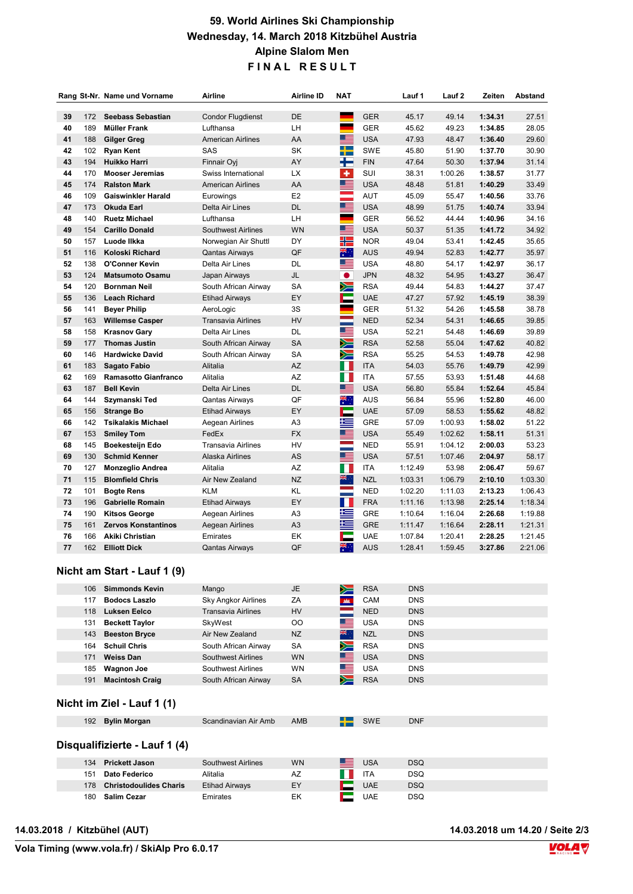## 59. World Airlines Ski Championship Wednesday, 14. March 2018 Kitzbühel Austria Alpine Slalom Men FINAL RESULT

|    |     | Rang St-Nr. Name und Vorname | Airline                   | <b>Airline ID</b> | <b>NAT</b>  |            | Lauf 1  | Lauf <sub>2</sub> | Zeiten  | Abstand |
|----|-----|------------------------------|---------------------------|-------------------|-------------|------------|---------|-------------------|---------|---------|
| 39 | 172 | <b>Seebass Sebastian</b>     | <b>Condor Flugdienst</b>  | <b>DE</b>         |             | <b>GER</b> | 45.17   | 49.14             | 1:34.31 | 27.51   |
| 40 | 189 | <b>Müller Frank</b>          | Lufthansa                 | LH                | ۰           | <b>GER</b> | 45.62   | 49.23             | 1:34.85 | 28.05   |
| 41 | 188 | Gilger Greg                  | <b>American Airlines</b>  | AA                | <u>est</u>  | <b>USA</b> | 47.93   | 48.47             | 1:36.40 | 29.60   |
| 42 | 102 | <b>Ryan Kent</b>             | SAS                       | SK                | ╋           | <b>SWE</b> | 45.80   | 51.90             | 1:37.70 | 30.90   |
| 43 | 194 | Huikko Harri                 | Finnair Oyj               | AY                | ╊           | <b>FIN</b> | 47.64   | 50.30             | 1:37.94 | 31.14   |
| 44 | 170 | <b>Mooser Jeremias</b>       | Swiss International       | <b>LX</b>         | ÷           | SUI        | 38.31   | 1:00.26           | 1:38.57 | 31.77   |
| 45 | 174 | <b>Ralston Mark</b>          | <b>American Airlines</b>  | AA                | ▓▆          | <b>USA</b> | 48.48   | 51.81             | 1:40.29 | 33.49   |
| 46 | 109 | <b>Gaiswinkler Harald</b>    | Eurowings                 | E <sub>2</sub>    | ÷           | AUT        | 45.09   | 55.47             | 1:40.56 | 33.76   |
| 47 | 173 | <b>Okuda Earl</b>            | Delta Air Lines           | <b>DL</b>         | ▀           | <b>USA</b> | 48.99   | 51.75             | 1:40.74 | 33.94   |
| 48 | 140 | <b>Ruetz Michael</b>         | Lufthansa                 | LH                | ٠           | <b>GER</b> | 56.52   | 44.44             | 1:40.96 | 34.16   |
| 49 | 154 | <b>Carillo Donald</b>        | <b>Southwest Airlines</b> | <b>WN</b>         | ▀           | <b>USA</b> | 50.37   | 51.35             | 1:41.72 | 34.92   |
| 50 | 157 | Luode Ilkka                  | Norwegian Air Shuttl      | DY                | HI          | <b>NOR</b> | 49.04   | 53.41             | 1:42.45 | 35.65   |
| 51 | 116 | Koloski Richard              | <b>Qantas Airways</b>     | QF                | ्<br>राज्य  | <b>AUS</b> | 49.94   | 52.83             | 1:42.77 | 35.97   |
| 52 | 138 | O'Conner Kevin               | Delta Air Lines           | DL                | ≣           | <b>USA</b> | 48.80   | 54.17             | 1:42.97 | 36.17   |
| 53 | 124 | <b>Matsumoto Osamu</b>       | Japan Airways             | JL                | $\bullet$   | <b>JPN</b> | 48.32   | 54.95             | 1:43.27 | 36.47   |
| 54 | 120 | <b>Bornman Neil</b>          | South African Airway      | SA                | $\geqslant$ | <b>RSA</b> | 49.44   | 54.83             | 1:44.27 | 37.47   |
| 55 | 136 | <b>Leach Richard</b>         | <b>Etihad Airways</b>     | EY                | E           | <b>UAE</b> | 47.27   | 57.92             | 1:45.19 | 38.39   |
| 56 | 141 | <b>Bever Philip</b>          | AeroLogic                 | 3S                | ۰           | <b>GER</b> | 51.32   | 54.26             | 1:45.58 | 38.78   |
| 57 | 163 | <b>Willemse Casper</b>       | <b>Transavia Airlines</b> | <b>HV</b>         | e e         | <b>NED</b> | 52.34   | 54.31             | 1:46.65 | 39.85   |
| 58 | 158 | <b>Krasnov Gary</b>          | Delta Air Lines           | DL                | E           | <b>USA</b> | 52.21   | 54.48             | 1:46.69 | 39.89   |
| 59 | 177 | <b>Thomas Justin</b>         | South African Airway      | <b>SA</b>         | ╳═          | <b>RSA</b> | 52.58   | 55.04             | 1:47.62 | 40.82   |
| 60 | 146 | <b>Hardwicke David</b>       | South African Airway      | SA                | ➣           | <b>RSA</b> | 55.25   | 54.53             | 1:49.78 | 42.98   |
| 61 | 183 | Sagato Fabio                 | Alitalia                  | AZ                | W           | <b>ITA</b> | 54.03   | 55.76             | 1:49.79 | 42.99   |
| 62 | 169 | Ramasotto Gianfranco         | Alitalia                  | AZ                | Ш           | <b>ITA</b> | 57.55   | 53.93             | 1:51.48 | 44.68   |
| 63 | 187 | <b>Bell Kevin</b>            | Delta Air Lines           | <b>DL</b>         | 드           | <b>USA</b> | 56.80   | 55.84             | 1:52.64 | 45.84   |
| 64 | 144 | Szymanski Ted                | Qantas Airways            | QF                | 、<br>、<br>、 | <b>AUS</b> | 56.84   | 55.96             | 1:52.80 | 46.00   |
| 65 | 156 | <b>Strange Bo</b>            | <b>Etihad Airways</b>     | EY                | Е           | <b>UAE</b> | 57.09   | 58.53             | 1:55.62 | 48.82   |
| 66 | 142 | <b>Tsikalakis Michael</b>    | Aegean Airlines           | A <sub>3</sub>    | 垤           | <b>GRE</b> | 57.09   | 1:00.93           | 1:58.02 | 51.22   |
| 67 | 153 | <b>Smiley Tom</b>            | FedEx                     | <b>FX</b>         | ▆           | <b>USA</b> | 55.49   | 1:02.62           | 1:58.11 | 51.31   |
| 68 | 145 | Boekesteijn Edo              | <b>Transavia Airlines</b> | HV                |             | <b>NED</b> | 55.91   | 1:04.12           | 2:00.03 | 53.23   |
| 69 | 130 | <b>Schmid Kenner</b>         | Alaska Airlines           | AS                | ▓▆▅         | <b>USA</b> | 57.51   | 1:07.46           | 2:04.97 | 58.17   |
| 70 | 127 | <b>Monzeglio Andrea</b>      | Alitalia                  | AZ                | O           | <b>ITA</b> | 1:12.49 | 53.98             | 2:06.47 | 59.67   |
| 71 | 115 | <b>Blomfield Chris</b>       | Air New Zealand           | NZ                | aig .       | <b>NZL</b> | 1:03.31 | 1:06.79           | 2:10.10 | 1:03.30 |
| 72 | 101 | <b>Bogte Rens</b>            | <b>KLM</b>                | <b>KL</b>         |             | <b>NED</b> | 1:02.20 | 1:11.03           | 2:13.23 | 1:06.43 |
| 73 | 196 | <b>Gabrielle Romain</b>      | <b>Etihad Airways</b>     | EY                | Ш           | <b>FRA</b> | 1:11.16 | 1:13.98           | 2:25.14 | 1:18.34 |
| 74 | 190 | <b>Kitsos George</b>         | Aegean Airlines           | A <sub>3</sub>    | 坦           | <b>GRE</b> | 1:10.64 | 1:16.04           | 2:26.68 | 1:19.88 |
| 75 | 161 | <b>Zervos Konstantinos</b>   | Aegean Airlines           | A <sub>3</sub>    | __          | <b>GRE</b> | 1:11.47 | 1:16.64           | 2:28.11 | 1:21.31 |
| 76 | 166 | Akiki Christian              | Emirates                  | EK                | е           | <b>UAE</b> | 1:07.84 | 1:20.41           | 2:28.25 | 1:21.45 |
| 77 | 162 | <b>Elliott Dick</b>          | <b>Qantas Airways</b>     | QF                | 業           | <b>AUS</b> | 1:28.41 | 1:59.45           | 3:27.86 | 2:21.06 |

#### Nicht am Start - Lauf 1 (9)

| 106 | <b>Simmonds Kevin</b>  | Mango                      | <b>JE</b>   | ➣                      | <b>RSA</b> | <b>DNS</b> |
|-----|------------------------|----------------------------|-------------|------------------------|------------|------------|
| 117 | <b>Bodocs Laszlo</b>   | <b>Sky Angkor Airlines</b> | ZA          | <b>MAR</b>             | CAM        | <b>DNS</b> |
| 118 | Luksen Eelco           | Transavia Airlines         | <b>HV</b>   |                        | <b>NED</b> | <b>DNS</b> |
| 131 | <b>Beckett Taylor</b>  | SkyWest                    | $_{\rm OO}$ | <u> Indonesia ya k</u> | <b>USA</b> | <b>DNS</b> |
| 143 | <b>Beeston Bryce</b>   | Air New Zealand            | <b>NZ</b>   | 을.                     | <b>NZL</b> | <b>DNS</b> |
| 164 | <b>Schuil Chris</b>    | South African Airway       | <b>SA</b>   | $\geqslant$            | <b>RSA</b> | <b>DNS</b> |
| 171 | <b>Weiss Dan</b>       | Southwest Airlines         | <b>WN</b>   | ⋐                      | <b>USA</b> | <b>DNS</b> |
| 185 | <b>Wagnon Joe</b>      | Southwest Airlines         | <b>WN</b>   | ▀                      | <b>USA</b> | <b>DNS</b> |
| 191 | <b>Macintosh Craig</b> | South African Airway       | <b>SA</b>   |                        | <b>RSA</b> | <b>DNS</b> |
|     |                        |                            |             |                        |            |            |

### Nicht im Ziel - Lauf 1 (1)

| 192 Bylin Morgan              | Scandinavian Air Amb | AMB | $\Box$ SWE | <b>DNF</b> |
|-------------------------------|----------------------|-----|------------|------------|
| Disqualifizierte - Lauf 1 (4) |                      |     |            |            |

| <b>Prickett Jason</b><br>134         | <b>Southwest Airlines</b> | <b>WN</b> | <b>USA</b> | <b>DSQ</b> |
|--------------------------------------|---------------------------|-----------|------------|------------|
| <b>Dato Federico</b><br>151          | Alitalia                  | AZ        | ITA        | DSQ        |
| <b>Christodoulides Charis</b><br>178 | <b>Etihad Airways</b>     | EY        | <b>UAE</b> | <b>DSQ</b> |
| <b>Salim Cezar</b><br>180            | Emirates                  | EK        | UAE        | DSQ        |

14.03.2018 / Kitzbühel (AUT) 14.03.2018 um 14.20 / Seite 2/3